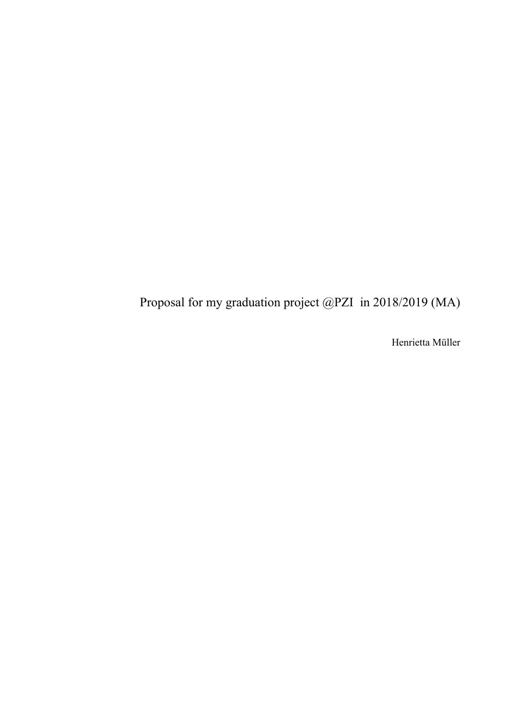Proposal for my graduation project @PZI in 2018/2019 (MA)

Henrietta Müller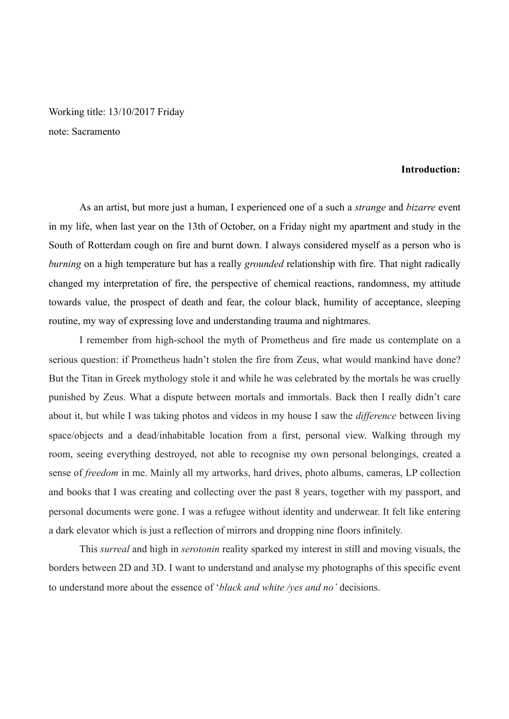Working title: 13/10/2017 Friday note: Sacramento

### **Introduction:**

 As an artist, but more just a human, I experienced one of a such a *strange* and *bizarre* event in my life, when last year on the 13th of October, on a Friday night my apartment and study in the South of Rotterdam cough on fire and burnt down. I always considered myself as a person who is *burning* on a high temperature but has a really *grounded* relationship with fire. That night radically changed my interpretation of fire, the perspective of chemical reactions, randomness, my attitude towards value, the prospect of death and fear, the colour black, humility of acceptance, sleeping routine, my way of expressing love and understanding trauma and nightmares.

 I remember from high-school the myth of Prometheus and fire made us contemplate on a serious question: if Prometheus hadn't stolen the fire from Zeus, what would mankind have done? But the Titan in Greek mythology stole it and while he was celebrated by the mortals he was cruelly punished by Zeus. What a dispute between mortals and immortals. Back then I really didn't care about it, but while I was taking photos and videos in my house I saw the *difference* between living space/objects and a dead/inhabitable location from a first, personal view. Walking through my room, seeing everything destroyed, not able to recognise my own personal belongings, created a sense of *freedom* in me. Mainly all my artworks, hard drives, photo albums, cameras, LP collection and books that I was creating and collecting over the past 8 years, together with my passport, and personal documents were gone. I was a refugee without identity and underwear. It felt like entering a dark elevator which is just a reflection of mirrors and dropping nine floors infinitely.

 This *surreal* and high in *serotonin* reality sparked my interest in still and moving visuals, the borders between 2D and 3D. I want to understand and analyse my photographs of this specific event to understand more about the essence of '*black and white /yes and no'* decisions.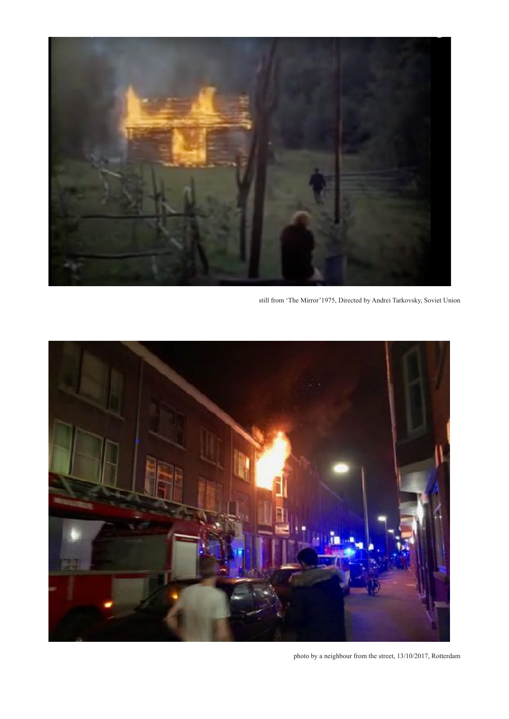

still from 'The Mirror'1975, Directed by Andrei Tarkovsky, Soviet Union



photo by a neighbour from the street, 13/10/2017, Rotterdam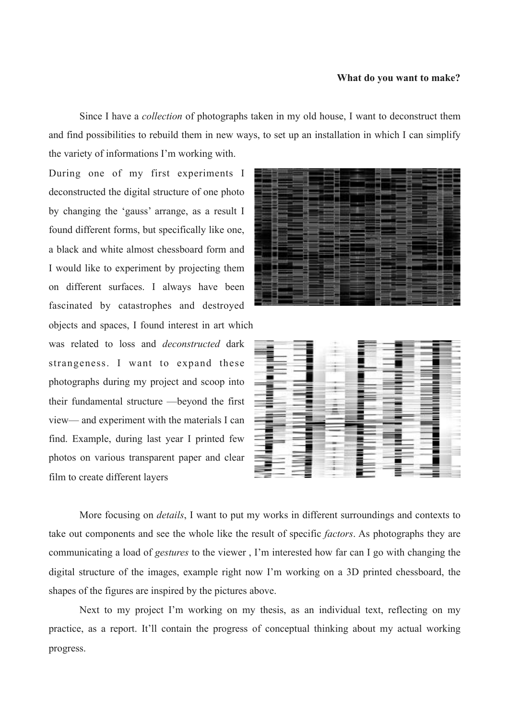### **What do you want to make?**

 Since I have a *collection* of photographs taken in my old house, I want to deconstruct them and find possibilities to rebuild them in new ways, to set up an installation in which I can simplify the variety of informations I'm working with.

During one of my first experiments I deconstructed the digital structure of one photo by changing the 'gauss' arrange, as a result I found different forms, but specifically like one, a black and white almost chessboard form and I would like to experiment by projecting them on different surfaces. I always have been fascinated by catastrophes and destroyed objects and spaces, I found interest in art which was related to loss and *deconstructed* dark strangeness. I want to expand these photographs during my project and scoop into their fundamental structure —beyond the first

film to create different layers





 More focusing on *details*, I want to put my works in different surroundings and contexts to take out components and see the whole like the result of specific *factors*. As photographs they are communicating a load of *gestures* to the viewer , I'm interested how far can I go with changing the digital structure of the images, example right now I'm working on a 3D printed chessboard, the shapes of the figures are inspired by the pictures above.

 Next to my project I'm working on my thesis, as an individual text, reflecting on my practice, as a report. It'll contain the progress of conceptual thinking about my actual working progress.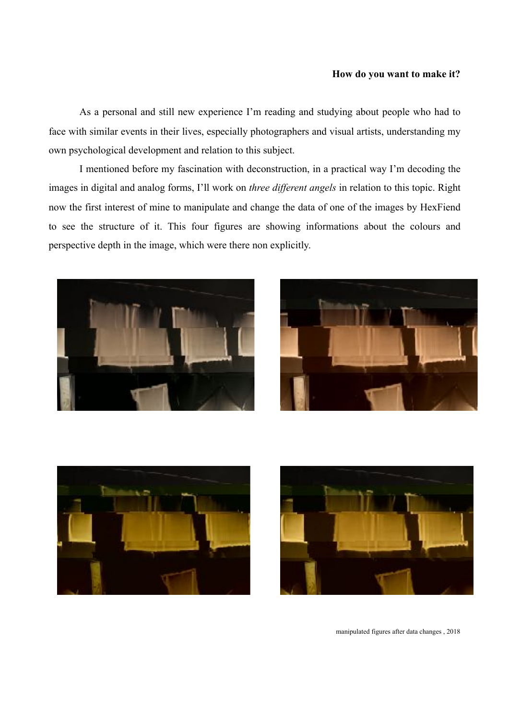## **How do you want to make it?**

 As a personal and still new experience I'm reading and studying about people who had to face with similar events in their lives, especially photographers and visual artists, understanding my own psychological development and relation to this subject.

 I mentioned before my fascination with deconstruction, in a practical way I'm decoding the images in digital and analog forms, I'll work on *three different angels* in relation to this topic. Right now the first interest of mine to manipulate and change the data of one of the images by HexFiend to see the structure of it. This four figures are showing informations about the colours and perspective depth in the image, which were there non explicitly.









manipulated figures after data changes , 2018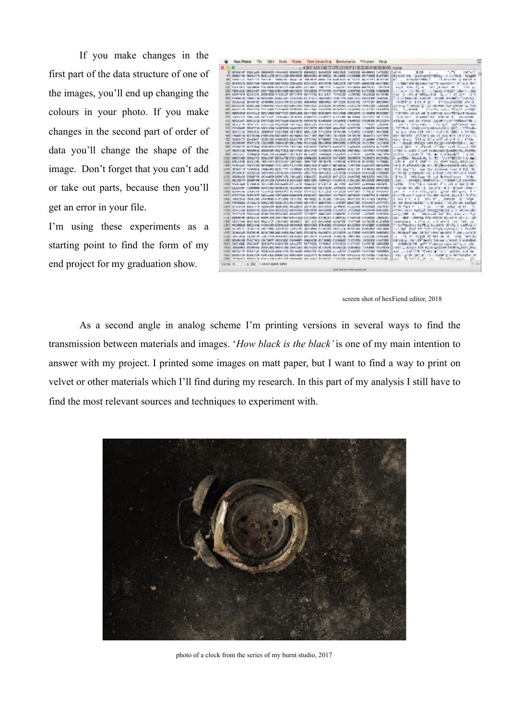If you make changes in the first part of the data structure of one of the images, you'll end up changing the colours in your photo. If you make changes in the second part of order of data you'll change the shape of the image. Don't forget that you can't add or take out parts, because then you'll get an error in your file.

I'm using these experiments as a starting point to find the form of my end project for my graduation show.



screen shot of hexFiend editor, 2018

 As a second angle in analog scheme I'm printing versions in several ways to find the transmission between materials and images. '*How black is the black'* is one of my main intention to answer with my project. I printed some images on matt paper, but I want to find a way to print on velvet or other materials which I'll find during my research. In this part of my analysis I still have to find the most relevant sources and techniques to experiment with.



photo of a clock from the series of my burnt studio, 2017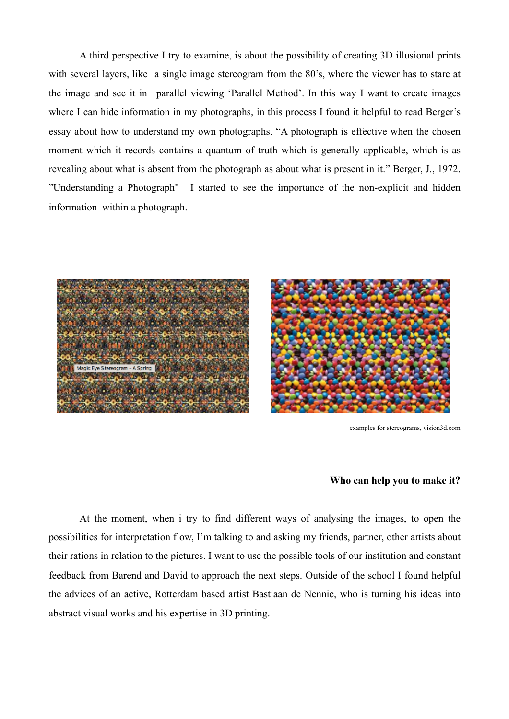A third perspective I try to examine, is about the possibility of creating 3D illusional prints with several layers, like a single image stereogram from the 80's, where the viewer has to stare at the image and see it in parallel viewing 'Parallel Method'. In this way I want to create images where I can hide information in my photographs, in this process I found it helpful to read Berger's essay about how to understand my own photographs. "A photograph is effective when the chosen moment which it records contains a quantum of truth which is generally applicable, which is as revealing about what is absent from the photograph as about what is present in it." Berger, J., 1972. "Understanding a Photograph" I started to see the importance of the non-explicit and hidden information within a photograph.



examples for stereograms, vision3d.com

## **Who can help you to make it?**

 At the moment, when i try to find different ways of analysing the images, to open the possibilities for interpretation flow, I'm talking to and asking my friends, partner, other artists about their rations in relation to the pictures. I want to use the possible tools of our institution and constant feedback from Barend and David to approach the next steps. Outside of the school I found helpful the advices of an active, Rotterdam based artist Bastiaan de Nennie, who is turning his ideas into abstract visual works and his expertise in 3D printing.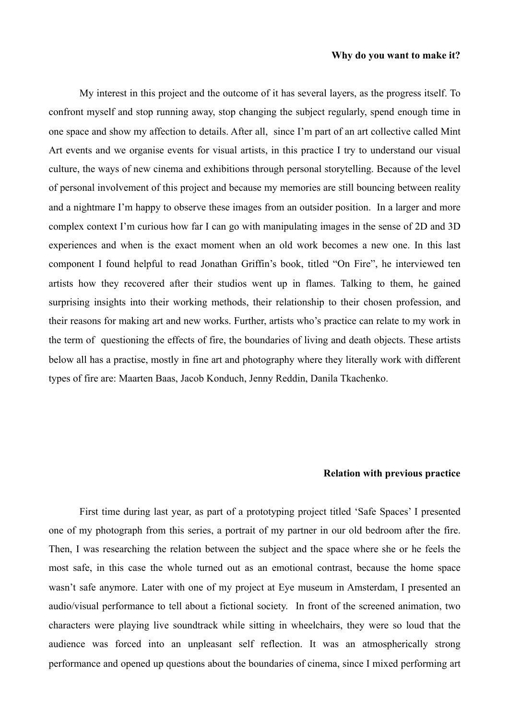#### **Why do you want to make it?**

 My interest in this project and the outcome of it has several layers, as the progress itself. To confront myself and stop running away, stop changing the subject regularly, spend enough time in one space and show my affection to details. After all, since I'm part of an art collective called Mint Art events and we organise events for visual artists, in this practice I try to understand our visual culture, the ways of new cinema and exhibitions through personal storytelling. Because of the level of personal involvement of this project and because my memories are still bouncing between reality and a nightmare I'm happy to observe these images from an outsider position. In a larger and more complex context I'm curious how far I can go with manipulating images in the sense of 2D and 3D experiences and when is the exact moment when an old work becomes a new one. In this last component I found helpful to read Jonathan Griffin's book, titled "On Fire", he interviewed ten artists how they recovered after their studios went up in flames. Talking to them, he gained surprising insights into their working methods, their relationship to their chosen profession, and their reasons for making art and new works. Further, artists who's practice can relate to my work in the term of questioning the effects of fire, the boundaries of living and death objects. These artists below all has a practise, mostly in fine art and photography where they literally work with different types of fire are: Maarten Baas, Jacob Konduch, Jenny Reddin, Danila Tkachenko.

# **Relation with previous practice**

 First time during last year, as part of a prototyping project titled 'Safe Spaces' I presented one of my photograph from this series, a portrait of my partner in our old bedroom after the fire. Then, I was researching the relation between the subject and the space where she or he feels the most safe, in this case the whole turned out as an emotional contrast, because the home space wasn't safe anymore. Later with one of my project at Eye museum in Amsterdam, I presented an audio/visual performance to tell about a fictional society. In front of the screened animation, two characters were playing live soundtrack while sitting in wheelchairs, they were so loud that the audience was forced into an unpleasant self reflection. It was an atmospherically strong performance and opened up questions about the boundaries of cinema, since I mixed performing art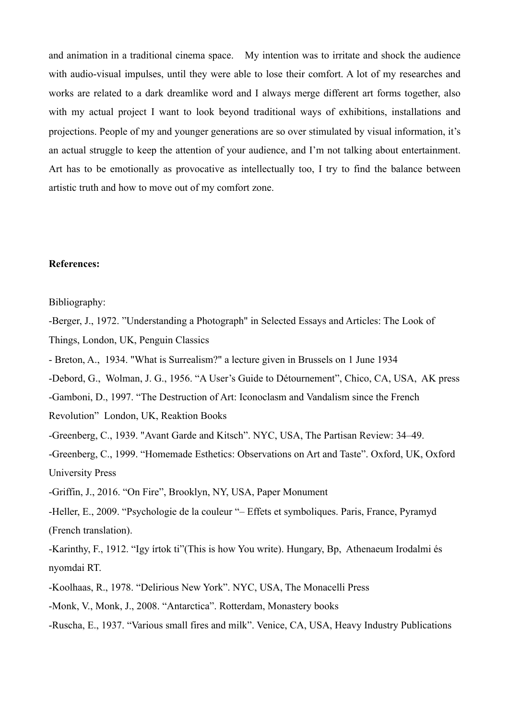and animation in a traditional cinema space. My intention was to irritate and shock the audience with audio-visual impulses, until they were able to lose their comfort. A lot of my researches and works are related to a dark dreamlike word and I always merge different art forms together, also with my actual project I want to look beyond traditional ways of exhibitions, installations and projections. People of my and younger generations are so over stimulated by visual information, it's an actual struggle to keep the attention of your audience, and I'm not talking about entertainment. Art has to be emotionally as provocative as intellectually too, I try to find the balance between artistic truth and how to move out of my comfort zone.

## **References:**

Bibliography:

- -Berger, J., 1972. "Understanding a Photograph" in Selected Essays and Articles: The Look of Things, London, UK, Penguin Classics
- Breton, A., 1934. "What is Surrealism?" a lecture given in Brussels on 1 June 1934
- -Debord, G., Wolman, J. G., 1956. "A User's Guide to Détournement", Chico, CA, USA, AK press
- -Gamboni, D., 1997. "The Destruction of Art: Iconoclasm and Vandalism since the French
- Revolution" London, UK, Reaktion Books
- -Greenberg, C., 1939. "Avant Garde and Kitsch". NYC, USA, The Partisan Review: 34–49.
- -Greenberg, C., 1999. "Homemade Esthetics: Observations on Art and Taste". Oxford, UK, Oxford University Press
- -Griffin, J., 2016. "On Fire", Brooklyn, NY, USA, Paper Monument
- -Heller, E., 2009. "Psychologie de la couleur "– Effets et symboliques. Paris, France, Pyramyd (French translation).
- -Karinthy, F., 1912. "Igy írtok ti"(This is how You write). Hungary, Bp, Athenaeum Irodalmi és nyomdai RT.
- -Koolhaas, R., 1978. "Delirious New York". NYC, USA, The Monacelli Press
- -Monk, V., Monk, J., 2008. "Antarctica". Rotterdam, Monastery books
- -Ruscha, E., 1937. "Various small fires and milk". Venice, CA, USA, Heavy Industry Publications